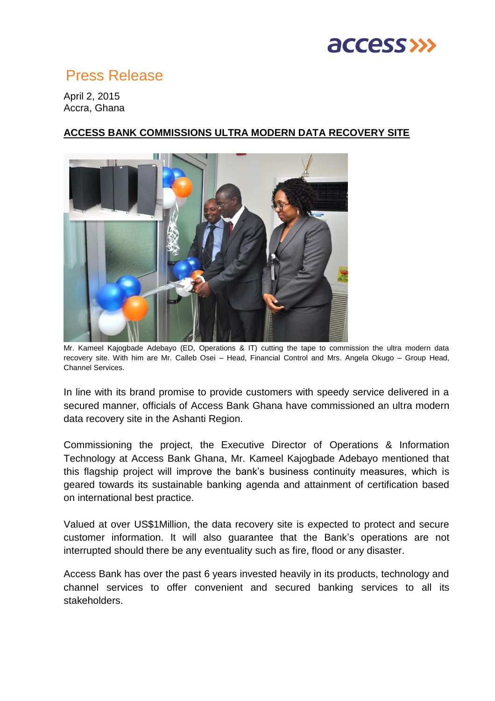

## Press Release

April 2, 2015 Accra, Ghana

## **ACCESS BANK COMMISSIONS ULTRA MODERN DATA RECOVERY SITE**



Mr. Kameel Kajogbade Adebayo (ED, Operations & IT) cutting the tape to commission the ultra modern data recovery site. With him are Mr. Calleb Osei – Head, Financial Control and Mrs. Angela Okugo – Group Head, Channel Services.

In line with its brand promise to provide customers with speedy service delivered in a secured manner, officials of Access Bank Ghana have commissioned an ultra modern data recovery site in the Ashanti Region.

Commissioning the project, the Executive Director of Operations & Information Technology at Access Bank Ghana, Mr. Kameel Kajogbade Adebayo mentioned that this flagship project will improve the bank's business continuity measures, which is geared towards its sustainable banking agenda and attainment of certification based on international best practice.

Valued at over US\$1Million, the data recovery site is expected to protect and secure customer information. It will also guarantee that the Bank's operations are not interrupted should there be any eventuality such as fire, flood or any disaster.

Access Bank has over the past 6 years invested heavily in its products, technology and channel services to offer convenient and secured banking services to all its stakeholders.